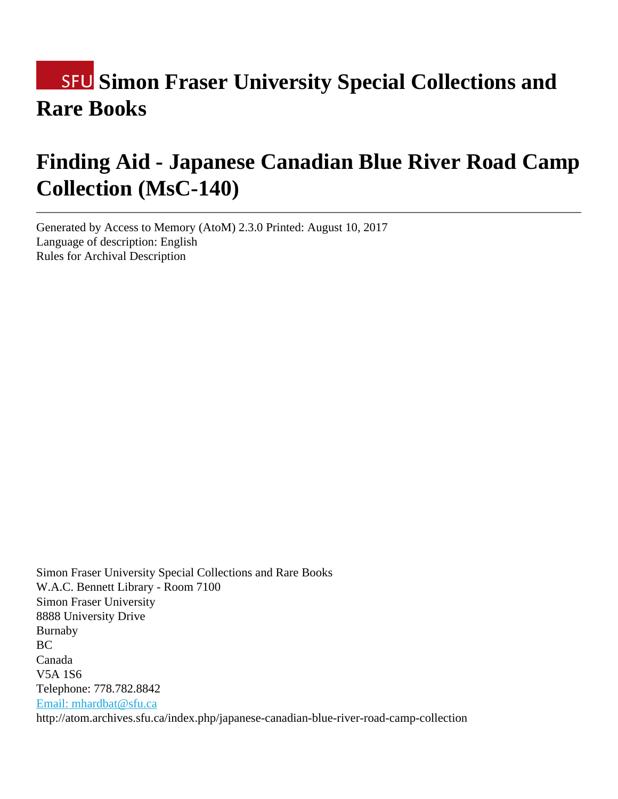# **SFU Simon Fraser University Special Collections and Rare Books**

# **Finding Aid - Japanese Canadian Blue River Road Camp Collection (MsC-140)**

Generated by Access to Memory (AtoM) 2.3.0 Printed: August 10, 2017 Language of description: English Rules for Archival Description

Simon Fraser University Special Collections and Rare Books W.A.C. Bennett Library - Room 7100 Simon Fraser University 8888 University Drive Burnaby BC Canada V5A 1S6 Telephone: 778.782.8842 [Email: mhardbat@sfu.ca](mailto:Email: mhardbat@sfu.ca) http://atom.archives.sfu.ca/index.php/japanese-canadian-blue-river-road-camp-collection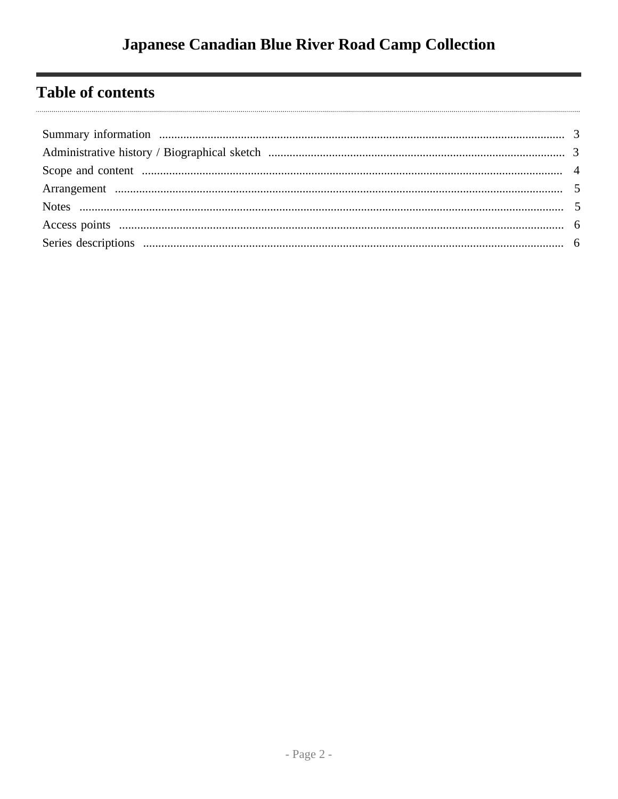# **Table of contents**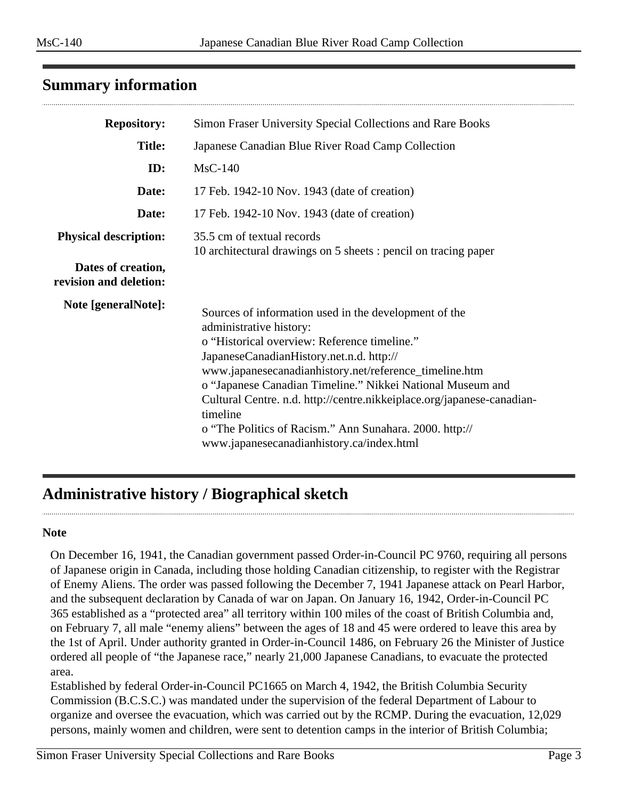## <span id="page-2-0"></span>**Summary information**

| <b>Repository:</b>                           | Simon Fraser University Special Collections and Rare Books                                                                                                                                                                                                                                                                                                                                                                                                                                         |  |  |
|----------------------------------------------|----------------------------------------------------------------------------------------------------------------------------------------------------------------------------------------------------------------------------------------------------------------------------------------------------------------------------------------------------------------------------------------------------------------------------------------------------------------------------------------------------|--|--|
| <b>Title:</b>                                | Japanese Canadian Blue River Road Camp Collection                                                                                                                                                                                                                                                                                                                                                                                                                                                  |  |  |
| ID:                                          | $MsC-140$                                                                                                                                                                                                                                                                                                                                                                                                                                                                                          |  |  |
| Date:                                        | 17 Feb. 1942-10 Nov. 1943 (date of creation)                                                                                                                                                                                                                                                                                                                                                                                                                                                       |  |  |
| Date:                                        | 17 Feb. 1942-10 Nov. 1943 (date of creation)                                                                                                                                                                                                                                                                                                                                                                                                                                                       |  |  |
| <b>Physical description:</b>                 | 35.5 cm of textual records<br>10 architectural drawings on 5 sheets : pencil on tracing paper                                                                                                                                                                                                                                                                                                                                                                                                      |  |  |
| Dates of creation,<br>revision and deletion: |                                                                                                                                                                                                                                                                                                                                                                                                                                                                                                    |  |  |
| Note [generalNote]:                          | Sources of information used in the development of the<br>administrative history:<br>o "Historical overview: Reference timeline."<br>JapaneseCanadianHistory.net.n.d. http://<br>www.japanesecanadianhistory.net/reference_timeline.htm<br>o "Japanese Canadian Timeline." Nikkei National Museum and<br>Cultural Centre. n.d. http://centre.nikkeiplace.org/japanese-canadian-<br>timeline<br>o "The Politics of Racism." Ann Sunahara. 2000. http://<br>www.japanesecanadianhistory.ca/index.html |  |  |

# <span id="page-2-1"></span>**Administrative history / Biographical sketch**

#### **Note**

On December 16, 1941, the Canadian government passed Order-in-Council PC 9760, requiring all persons of Japanese origin in Canada, including those holding Canadian citizenship, to register with the Registrar of Enemy Aliens. The order was passed following the December 7, 1941 Japanese attack on Pearl Harbor, and the subsequent declaration by Canada of war on Japan. On January 16, 1942, Order-in-Council PC 365 established as a "protected area" all territory within 100 miles of the coast of British Columbia and, on February 7, all male "enemy aliens" between the ages of 18 and 45 were ordered to leave this area by the 1st of April. Under authority granted in Order-in-Council 1486, on February 26 the Minister of Justice ordered all people of "the Japanese race," nearly 21,000 Japanese Canadians, to evacuate the protected area.

Established by federal Order-in-Council PC1665 on March 4, 1942, the British Columbia Security Commission (B.C.S.C.) was mandated under the supervision of the federal Department of Labour to organize and oversee the evacuation, which was carried out by the RCMP. During the evacuation, 12,029 persons, mainly women and children, were sent to detention camps in the interior of British Columbia;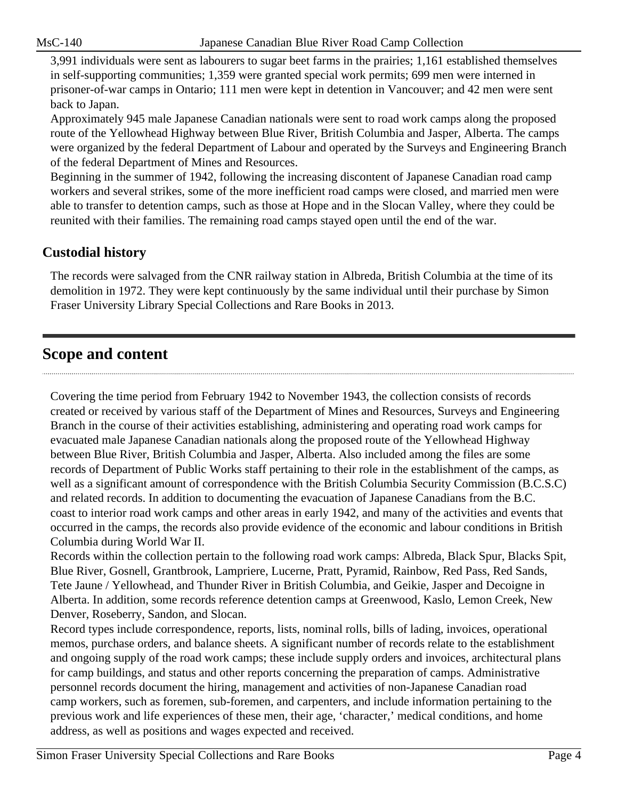3,991 individuals were sent as labourers to sugar beet farms in the prairies; 1,161 established themselves in self-supporting communities; 1,359 were granted special work permits; 699 men were interned in prisoner-of-war camps in Ontario; 111 men were kept in detention in Vancouver; and 42 men were sent back to Japan.

Approximately 945 male Japanese Canadian nationals were sent to road work camps along the proposed route of the Yellowhead Highway between Blue River, British Columbia and Jasper, Alberta. The camps were organized by the federal Department of Labour and operated by the Surveys and Engineering Branch of the federal Department of Mines and Resources.

Beginning in the summer of 1942, following the increasing discontent of Japanese Canadian road camp workers and several strikes, some of the more inefficient road camps were closed, and married men were able to transfer to detention camps, such as those at Hope and in the Slocan Valley, where they could be reunited with their families. The remaining road camps stayed open until the end of the war.

# **Custodial history**

The records were salvaged from the CNR railway station in Albreda, British Columbia at the time of its demolition in 1972. They were kept continuously by the same individual until their purchase by Simon Fraser University Library Special Collections and Rare Books in 2013.

# <span id="page-3-0"></span>**Scope and content**

Covering the time period from February 1942 to November 1943, the collection consists of records created or received by various staff of the Department of Mines and Resources, Surveys and Engineering Branch in the course of their activities establishing, administering and operating road work camps for evacuated male Japanese Canadian nationals along the proposed route of the Yellowhead Highway between Blue River, British Columbia and Jasper, Alberta. Also included among the files are some records of Department of Public Works staff pertaining to their role in the establishment of the camps, as well as a significant amount of correspondence with the British Columbia Security Commission (B.C.S.C) and related records. In addition to documenting the evacuation of Japanese Canadians from the B.C. coast to interior road work camps and other areas in early 1942, and many of the activities and events that occurred in the camps, the records also provide evidence of the economic and labour conditions in British Columbia during World War II.

Records within the collection pertain to the following road work camps: Albreda, Black Spur, Blacks Spit, Blue River, Gosnell, Grantbrook, Lampriere, Lucerne, Pratt, Pyramid, Rainbow, Red Pass, Red Sands, Tete Jaune / Yellowhead, and Thunder River in British Columbia, and Geikie, Jasper and Decoigne in Alberta. In addition, some records reference detention camps at Greenwood, Kaslo, Lemon Creek, New Denver, Roseberry, Sandon, and Slocan.

Record types include correspondence, reports, lists, nominal rolls, bills of lading, invoices, operational memos, purchase orders, and balance sheets. A significant number of records relate to the establishment and ongoing supply of the road work camps; these include supply orders and invoices, architectural plans for camp buildings, and status and other reports concerning the preparation of camps. Administrative personnel records document the hiring, management and activities of non-Japanese Canadian road camp workers, such as foremen, sub-foremen, and carpenters, and include information pertaining to the previous work and life experiences of these men, their age, 'character,' medical conditions, and home address, as well as positions and wages expected and received.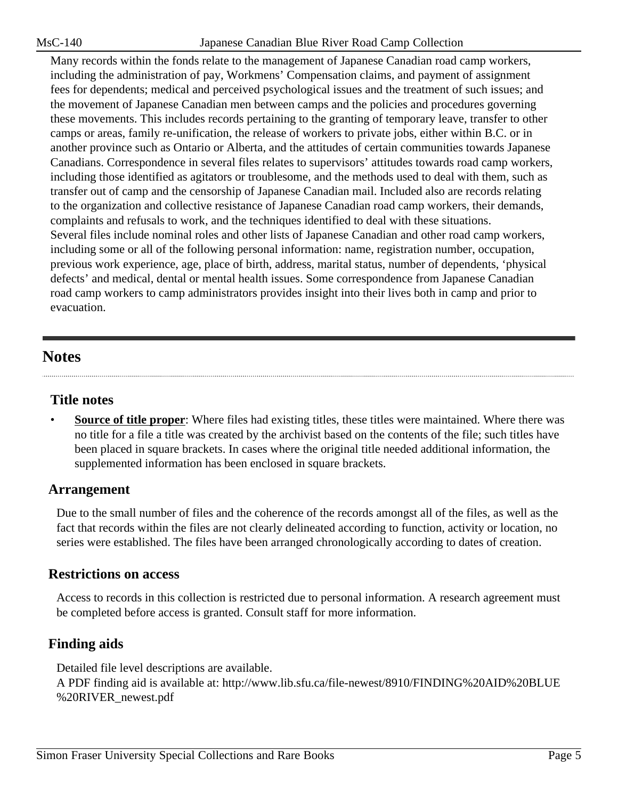Many records within the fonds relate to the management of Japanese Canadian road camp workers, including the administration of pay, Workmens' Compensation claims, and payment of assignment fees for dependents; medical and perceived psychological issues and the treatment of such issues; and the movement of Japanese Canadian men between camps and the policies and procedures governing these movements. This includes records pertaining to the granting of temporary leave, transfer to other camps or areas, family re-unification, the release of workers to private jobs, either within B.C. or in another province such as Ontario or Alberta, and the attitudes of certain communities towards Japanese Canadians. Correspondence in several files relates to supervisors' attitudes towards road camp workers, including those identified as agitators or troublesome, and the methods used to deal with them, such as transfer out of camp and the censorship of Japanese Canadian mail. Included also are records relating to the organization and collective resistance of Japanese Canadian road camp workers, their demands, complaints and refusals to work, and the techniques identified to deal with these situations. Several files include nominal roles and other lists of Japanese Canadian and other road camp workers, including some or all of the following personal information: name, registration number, occupation, previous work experience, age, place of birth, address, marital status, number of dependents, 'physical defects' and medical, dental or mental health issues. Some correspondence from Japanese Canadian road camp workers to camp administrators provides insight into their lives both in camp and prior to evacuation.

# <span id="page-4-1"></span>**Notes**

#### **Title notes**

**Source of title proper**: Where files had existing titles, these titles were maintained. Where there was no title for a file a title was created by the archivist based on the contents of the file; such titles have been placed in square brackets. In cases where the original title needed additional information, the supplemented information has been enclosed in square brackets.

## <span id="page-4-0"></span>**Arrangement**

Due to the small number of files and the coherence of the records amongst all of the files, as well as the fact that records within the files are not clearly delineated according to function, activity or location, no series were established. The files have been arranged chronologically according to dates of creation.

#### **Restrictions on access**

Access to records in this collection is restricted due to personal information. A research agreement must be completed before access is granted. Consult staff for more information.

## **Finding aids**

Detailed file level descriptions are available. A PDF finding aid is available at: http://www.lib.sfu.ca/file-newest/8910/FINDING%20AID%20BLUE %20RIVER\_newest.pdf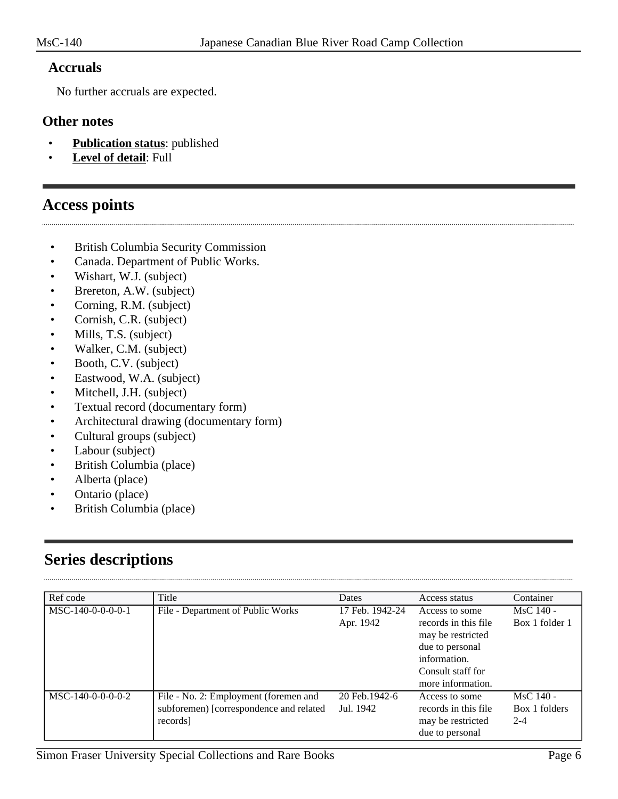#### **Accruals**

No further accruals are expected.

#### **Other notes**

- **Publication status**: published
- **Level of detail**: Full

## <span id="page-5-0"></span>**Access points**

- British Columbia Security Commission
- Canada. Department of Public Works.
- Wishart, W.J. (subject)
- Brereton, A.W. (subject)
- Corning, R.M. (subject)
- Cornish, C.R. (subject)
- Mills, T.S. (subject)
- Walker, C.M. (subject)
- Booth, C.V. (subject)
- Eastwood, W.A. (subject)
- Mitchell, J.H. (subject)
- Textual record (documentary form)
- Architectural drawing (documentary form)
- Cultural groups (subject)
- Labour (subject)
- British Columbia (place)
- Alberta (place)
- Ontario (place)
- British Columbia (place)

# <span id="page-5-1"></span>**Series descriptions**

| Ref code            | Title                                                                                        | Dates                        | Access status                                                                                                                            | Container                               |
|---------------------|----------------------------------------------------------------------------------------------|------------------------------|------------------------------------------------------------------------------------------------------------------------------------------|-----------------------------------------|
| $MSC-140-0-0-0-0-1$ | File - Department of Public Works                                                            | 17 Feb. 1942-24<br>Apr. 1942 | Access to some<br>records in this file<br>may be restricted<br>due to personal<br>information.<br>Consult staff for<br>more information. | $MsC$ 140 -<br>Box 1 folder 1           |
| MSC-140-0-0-0-0-2   | File - No. 2: Employment (foremen and<br>subforemen) [correspondence and related<br>records] | 20 Feb. 1942-6<br>Jul. 1942  | Access to some<br>records in this file<br>may be restricted<br>due to personal                                                           | $MsC$ 140 -<br>Box 1 folders<br>$2 - 4$ |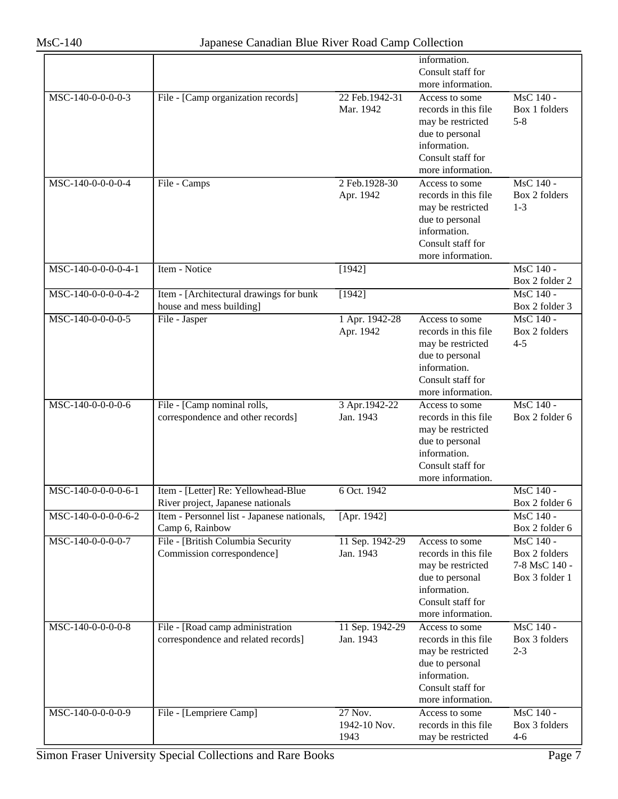|                     |                                             |                 | information.                           |                |
|---------------------|---------------------------------------------|-----------------|----------------------------------------|----------------|
|                     |                                             |                 | Consult staff for<br>more information. |                |
| MSC-140-0-0-0-0-3   | File - [Camp organization records]          | 22 Feb.1942-31  | Access to some                         | MsC 140 -      |
|                     |                                             | Mar. 1942       | records in this file                   | Box 1 folders  |
|                     |                                             |                 | may be restricted                      | $5 - 8$        |
|                     |                                             |                 | due to personal                        |                |
|                     |                                             |                 | information.                           |                |
|                     |                                             |                 | Consult staff for                      |                |
|                     |                                             |                 | more information.                      |                |
| MSC-140-0-0-0-0-4   | File - Camps                                | 2 Feb. 1928-30  | Access to some                         | MsC 140 -      |
|                     |                                             | Apr. 1942       | records in this file                   | Box 2 folders  |
|                     |                                             |                 | may be restricted                      | $1 - 3$        |
|                     |                                             |                 | due to personal                        |                |
|                     |                                             |                 | information.                           |                |
|                     |                                             |                 | Consult staff for                      |                |
|                     |                                             |                 | more information.                      |                |
| MSC-140-0-0-0-0-4-1 | Item - Notice                               | [1942]          |                                        | MsC 140 -      |
|                     |                                             |                 |                                        | Box 2 folder 2 |
| MSC-140-0-0-0-0-4-2 | Item - [Architectural drawings for bunk     | [1942]          |                                        | MsC 140 -      |
|                     | house and mess building]                    |                 |                                        | Box 2 folder 3 |
| MSC-140-0-0-0-0-5   | File - Jasper                               | 1 Apr. 1942-28  | Access to some                         | MsC 140 -      |
|                     |                                             | Apr. 1942       | records in this file                   | Box 2 folders  |
|                     |                                             |                 | may be restricted                      | $4 - 5$        |
|                     |                                             |                 | due to personal<br>information.        |                |
|                     |                                             |                 | Consult staff for                      |                |
|                     |                                             |                 | more information.                      |                |
| MSC-140-0-0-0-0-6   | File - [Camp nominal rolls,                 | 3 Apr. 1942-22  | Access to some                         | MsC 140 -      |
|                     | correspondence and other records]           | Jan. 1943       | records in this file                   | Box 2 folder 6 |
|                     |                                             |                 | may be restricted                      |                |
|                     |                                             |                 | due to personal                        |                |
|                     |                                             |                 | information.                           |                |
|                     |                                             |                 | Consult staff for                      |                |
|                     |                                             |                 | more information.                      |                |
| MSC-140-0-0-0-0-6-1 | Item - [Letter] Re: Yellowhead-Blue         | 6 Oct. 1942     |                                        | MsC 140 -      |
|                     | River project, Japanese nationals           |                 |                                        | Box 2 folder 6 |
| MSC-140-0-0-0-0-6-2 | Item - Personnel list - Japanese nationals, | [Apr. 1942]     |                                        | MsC 140 -      |
|                     | Camp 6, Rainbow                             |                 |                                        | Box 2 folder 6 |
| MSC-140-0-0-0-0-7   | File - [British Columbia Security           | 11 Sep. 1942-29 | Access to some                         | MsC 140 -      |
|                     | Commission correspondence]                  | Jan. 1943       | records in this file                   | Box 2 folders  |
|                     |                                             |                 | may be restricted                      | 7-8 MsC 140 -  |
|                     |                                             |                 | due to personal                        | Box 3 folder 1 |
|                     |                                             |                 | information.                           |                |
|                     |                                             |                 | Consult staff for                      |                |
|                     |                                             |                 | more information.                      |                |
| MSC-140-0-0-0-0-8   | File - [Road camp administration]           | 11 Sep. 1942-29 | Access to some                         | MsC 140 -      |
|                     | correspondence and related records]         | Jan. 1943       | records in this file                   | Box 3 folders  |
|                     |                                             |                 | may be restricted<br>due to personal   | $2 - 3$        |
|                     |                                             |                 | information.                           |                |
|                     |                                             |                 | Consult staff for                      |                |
|                     |                                             |                 | more information.                      |                |
| MSC-140-0-0-0-0-9   | File - [Lempriere Camp]                     | 27 Nov.         | Access to some                         | MsC 140 -      |
|                     |                                             | 1942-10 Nov.    | records in this file                   | Box 3 folders  |
|                     |                                             | 1943            | may be restricted                      | $4 - 6$        |